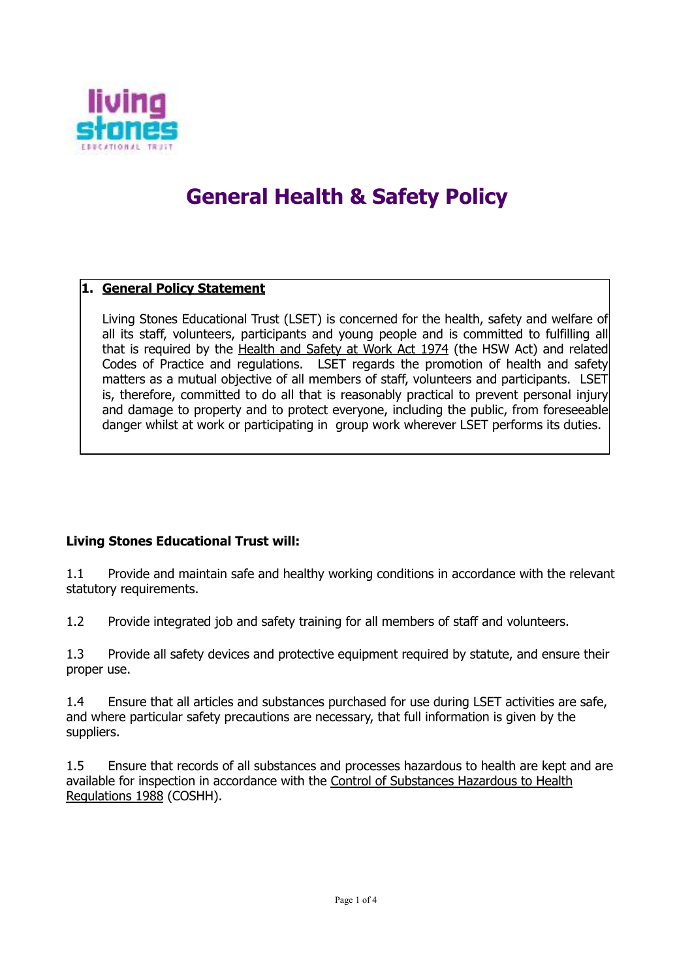

# **General Health & Safety Policy**

# **1. General Policy Statement**

 Living Stones Educational Trust (LSET) is concerned for the health, safety and welfare of all its staff, volunteers, participants and young people and is committed to fulfilling all that is required by the Health and Safety at Work Act 1974 (the HSW Act) and related Codes of Practice and regulations. LSET regards the promotion of health and safety matters as a mutual objective of all members of staff, volunteers and participants. LSET is, therefore, committed to do all that is reasonably practical to prevent personal injury and damage to property and to protect everyone, including the public, from foreseeable danger whilst at work or participating in group work wherever LSET performs its duties.

## **Living Stones Educational Trust will:**

1.1 Provide and maintain safe and healthy working conditions in accordance with the relevant statutory requirements.

1.2 Provide integrated job and safety training for all members of staff and volunteers.

1.3 Provide all safety devices and protective equipment required by statute, and ensure their proper use.

1.4 Ensure that all articles and substances purchased for use during LSET activities are safe, and where particular safety precautions are necessary, that full information is given by the suppliers.

1.5 Ensure that records of all substances and processes hazardous to health are kept and are available for inspection in accordance with the Control of Substances Hazardous to Health Regulations 1988 (COSHH).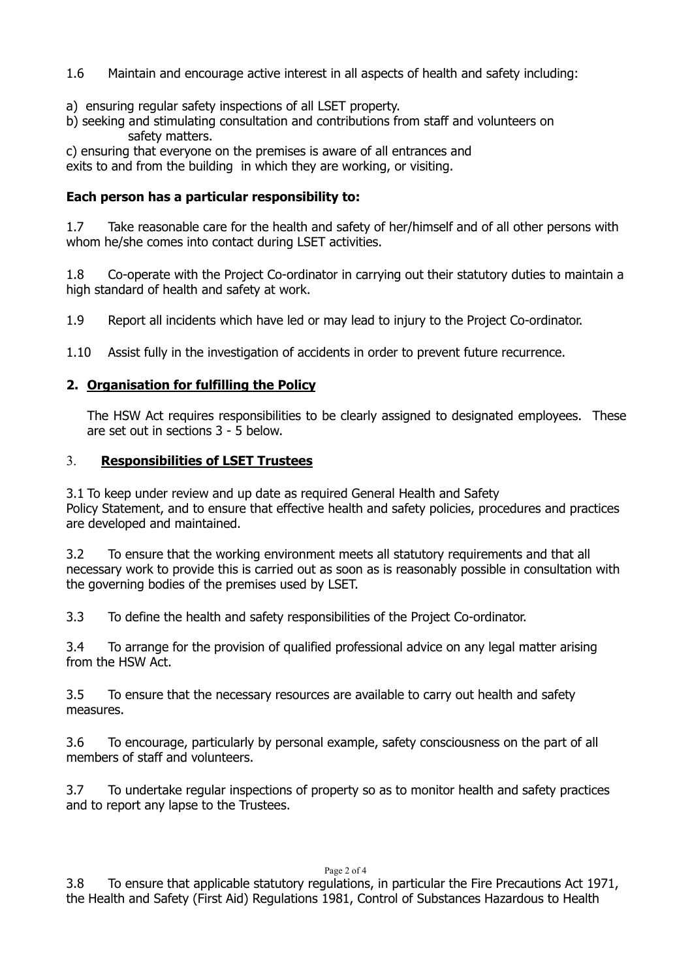- 1.6 Maintain and encourage active interest in all aspects of health and safety including:
- a) ensuring regular safety inspections of all LSET property.
- b) seeking and stimulating consultation and contributions from staff and volunteers on safety matters.

c) ensuring that everyone on the premises is aware of all entrances and exits to and from the building in which they are working, or visiting.

### **Each person has a particular responsibility to:**

1.7 Take reasonable care for the health and safety of her/himself and of all other persons with whom he/she comes into contact during LSET activities.

1.8 Co-operate with the Project Co-ordinator in carrying out their statutory duties to maintain a high standard of health and safety at work.

1.9 Report all incidents which have led or may lead to injury to the Project Co-ordinator.

1.10 Assist fully in the investigation of accidents in order to prevent future recurrence.

# **2. Organisation for fulfilling the Policy**

 The HSW Act requires responsibilities to be clearly assigned to designated employees. These are set out in sections 3 - 5 below.

## 3. **Responsibilities of LSET Trustees**

3.1 To keep under review and up date as required General Health and Safety Policy Statement, and to ensure that effective health and safety policies, procedures and practices are developed and maintained.

3.2 To ensure that the working environment meets all statutory requirements and that all necessary work to provide this is carried out as soon as is reasonably possible in consultation with the governing bodies of the premises used by LSET.

3.3 To define the health and safety responsibilities of the Project Co-ordinator.

3.4 To arrange for the provision of qualified professional advice on any legal matter arising from the HSW Act.

3.5 To ensure that the necessary resources are available to carry out health and safety measures.

3.6 To encourage, particularly by personal example, safety consciousness on the part of all members of staff and volunteers.

3.7 To undertake regular inspections of property so as to monitor health and safety practices and to report any lapse to the Trustees.

Page 2 of 4

3.8 To ensure that applicable statutory regulations, in particular the Fire Precautions Act 1971, the Health and Safety (First Aid) Regulations 1981, Control of Substances Hazardous to Health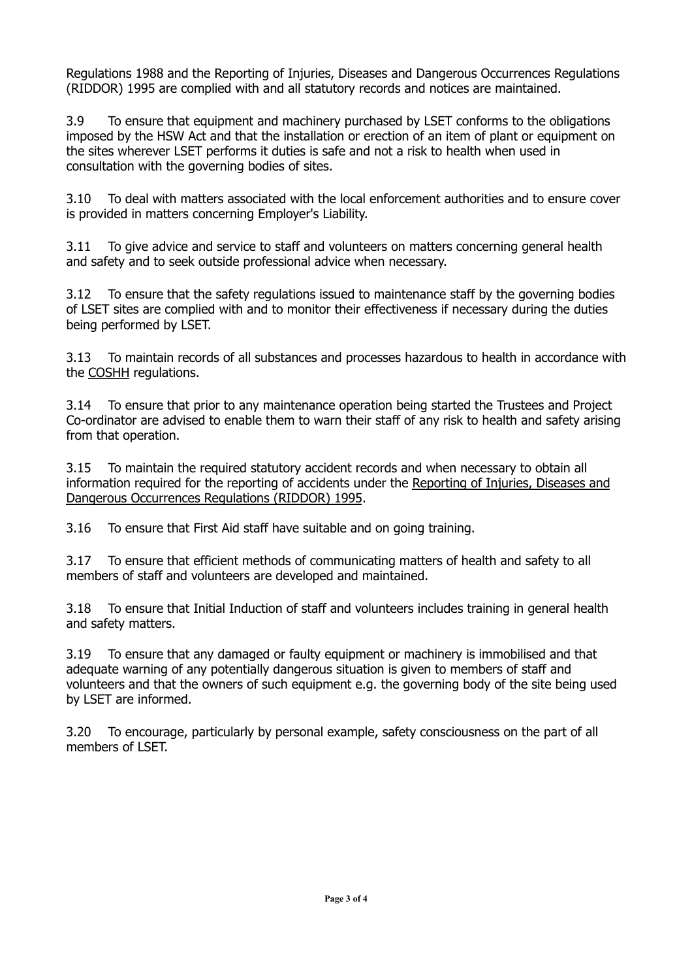Regulations 1988 and the Reporting of Injuries, Diseases and Dangerous Occurrences Regulations (RIDDOR) 1995 are complied with and all statutory records and notices are maintained.

3.9 To ensure that equipment and machinery purchased by LSET conforms to the obligations imposed by the HSW Act and that the installation or erection of an item of plant or equipment on the sites wherever LSET performs it duties is safe and not a risk to health when used in consultation with the governing bodies of sites.

3.10 To deal with matters associated with the local enforcement authorities and to ensure cover is provided in matters concerning Employer's Liability.

3.11 To give advice and service to staff and volunteers on matters concerning general health and safety and to seek outside professional advice when necessary.

3.12 To ensure that the safety regulations issued to maintenance staff by the governing bodies of LSET sites are complied with and to monitor their effectiveness if necessary during the duties being performed by LSET.

3.13 To maintain records of all substances and processes hazardous to health in accordance with the COSHH regulations.

3.14 To ensure that prior to any maintenance operation being started the Trustees and Project Co-ordinator are advised to enable them to warn their staff of any risk to health and safety arising from that operation.

3.15 To maintain the required statutory accident records and when necessary to obtain all information required for the reporting of accidents under the Reporting of Injuries, Diseases and Dangerous Occurrences Regulations (RIDDOR) 1995.

3.16 To ensure that First Aid staff have suitable and on going training.

3.17 To ensure that efficient methods of communicating matters of health and safety to all members of staff and volunteers are developed and maintained.

3.18 To ensure that Initial Induction of staff and volunteers includes training in general health and safety matters.

3.19 To ensure that any damaged or faulty equipment or machinery is immobilised and that adequate warning of any potentially dangerous situation is given to members of staff and volunteers and that the owners of such equipment e.g. the governing body of the site being used by LSET are informed.

3.20 To encourage, particularly by personal example, safety consciousness on the part of all members of LSET.